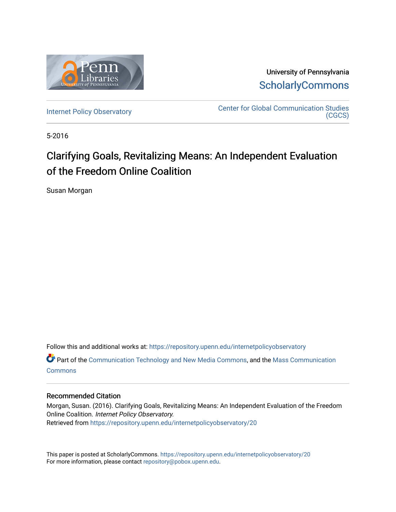

University of Pennsylvania **ScholarlyCommons** 

[Internet Policy Observatory](https://repository.upenn.edu/internetpolicyobservatory) **CENTER CENTER CENTER COMMUNICATION CENTER**<br>CECS [\(CGCS\)](https://repository.upenn.edu/cgcs) 

5-2016

## Clarifying Goals, Revitalizing Means: An Independent Evaluation of the Freedom Online Coalition

Susan Morgan

Follow this and additional works at: [https://repository.upenn.edu/internetpolicyobservatory](https://repository.upenn.edu/internetpolicyobservatory?utm_source=repository.upenn.edu%2Finternetpolicyobservatory%2F20&utm_medium=PDF&utm_campaign=PDFCoverPages) **C** Part of the [Communication Technology and New Media Commons,](http://network.bepress.com/hgg/discipline/327?utm_source=repository.upenn.edu%2Finternetpolicyobservatory%2F20&utm_medium=PDF&utm_campaign=PDFCoverPages) and the Mass Communication [Commons](http://network.bepress.com/hgg/discipline/334?utm_source=repository.upenn.edu%2Finternetpolicyobservatory%2F20&utm_medium=PDF&utm_campaign=PDFCoverPages)

#### Recommended Citation

Morgan, Susan. (2016). Clarifying Goals, Revitalizing Means: An Independent Evaluation of the Freedom Online Coalition. Internet Policy Observatory. Retrieved from [https://repository.upenn.edu/internetpolicyobservatory/20](https://repository.upenn.edu/internetpolicyobservatory/20?utm_source=repository.upenn.edu%2Finternetpolicyobservatory%2F20&utm_medium=PDF&utm_campaign=PDFCoverPages)

This paper is posted at ScholarlyCommons.<https://repository.upenn.edu/internetpolicyobservatory/20> For more information, please contact [repository@pobox.upenn.edu.](mailto:repository@pobox.upenn.edu)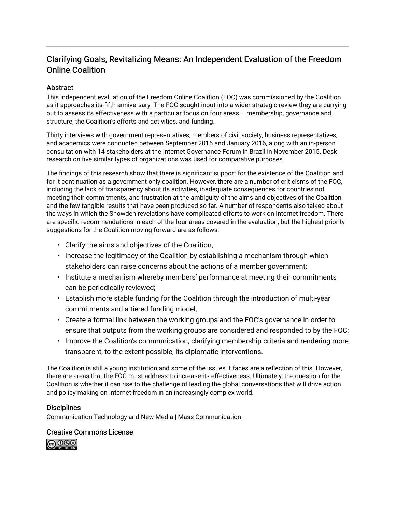## Clarifying Goals, Revitalizing Means: An Independent Evaluation of the Freedom Online Coalition

### Abstract

This independent evaluation of the Freedom Online Coalition (FOC) was commissioned by the Coalition as it approaches its fifth anniversary. The FOC sought input into a wider strategic review they are carrying out to assess its effectiveness with a particular focus on four areas – membership, governance and structure, the Coalition's efforts and activities, and funding.

Thirty interviews with government representatives, members of civil society, business representatives, and academics were conducted between September 2015 and January 2016, along with an in-person consultation with 14 stakeholders at the Internet Governance Forum in Brazil in November 2015. Desk research on five similar types of organizations was used for comparative purposes.

The findings of this research show that there is significant support for the existence of the Coalition and for it continuation as a government only coalition. However, there are a number of criticisms of the FOC, including the lack of transparency about its activities, inadequate consequences for countries not meeting their commitments, and frustration at the ambiguity of the aims and objectives of the Coalition, and the few tangible results that have been produced so far. A number of respondents also talked about the ways in which the Snowden revelations have complicated efforts to work on Internet freedom. There are specific recommendations in each of the four areas covered in the evaluation, but the highest priority suggestions for the Coalition moving forward are as follows:

- Clarify the aims and objectives of the Coalition;
- Increase the legitimacy of the Coalition by establishing a mechanism through which stakeholders can raise concerns about the actions of a member government;
- Institute a mechanism whereby members' performance at meeting their commitments can be periodically reviewed;
- Establish more stable funding for the Coalition through the introduction of multi-year commitments and a tiered funding model;
- Create a formal link between the working groups and the FOC's governance in order to ensure that outputs from the working groups are considered and responded to by the FOC;
- Improve the Coalition's communication, clarifying membership criteria and rendering more transparent, to the extent possible, its diplomatic interventions.

The Coalition is still a young institution and some of the issues it faces are a reflection of this. However, there are areas that the FOC must address to increase its effectiveness. Ultimately, the question for the Coalition is whether it can rise to the challenge of leading the global conversations that will drive action and policy making on Internet freedom in an increasingly complex world.

#### **Disciplines**

Communication Technology and New Media | Mass Communication

#### Creative Commons License

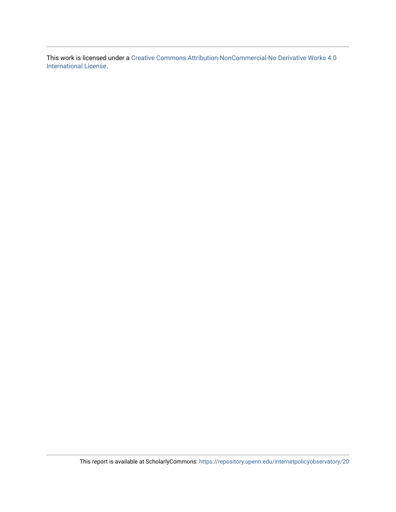This work is licensed under a [Creative Commons Attribution-NonCommercial-No Derivative Works 4.0](https://creativecommons.org/licenses/by-nc-nd/4.0/)  [International License.](https://creativecommons.org/licenses/by-nc-nd/4.0/)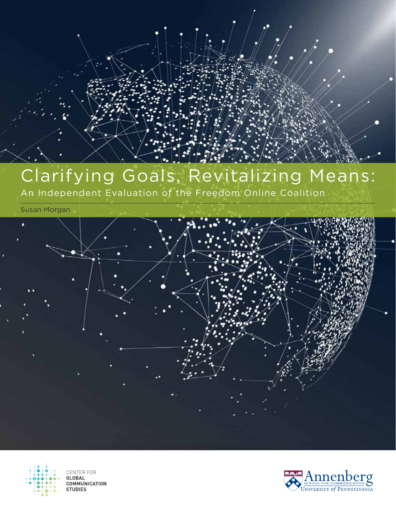# Clarifying Goals, Revitalizing Means:

An Independent Evaluation of the Freedom Online Coalition

Susan Morgan





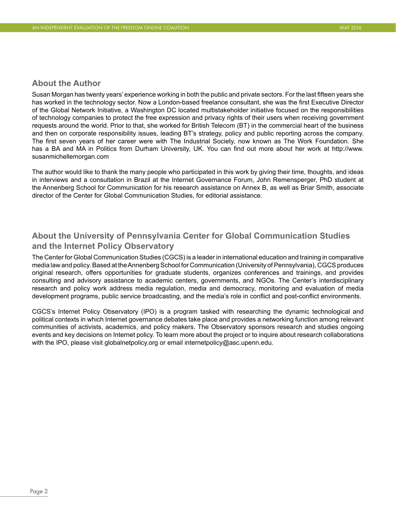#### **About the Author**

Susan Morgan has twenty years' experience working in both the public and private sectors. For the last fifteen years she has worked in the technology sector. Now a London-based freelance consultant, she was the first Executive Director of the Global Network Initiative, a Washington DC located multistakeholder initiative focused on the responsibilities of technology companies to protect the free expression and privacy rights of their users when receiving government requests around the world. Prior to that, she worked for British Telecom (BT) in the commercial heart of the business and then on corporate responsibility issues, leading BT's strategy, policy and public reporting across the company. The first seven years of her career were with The Industrial Society, now known as The Work Foundation. She has a BA and MA in Politics from Durham University, UK. You can find out more about her work at [http://www.](http://www.susanmichellemorgan.com) [susanmichellemorgan.com](http://www.susanmichellemorgan.com)

The author would like to thank the many people who participated in this work by giving their time, thoughts, and ideas in interviews and a consultation in Brazil at the Internet Governance Forum, John Remensperger, PhD student at the Annenberg School for Communication for his research assistance on Annex B, as well as Briar Smith, associate director of the Center for Global Communication Studies, for editorial assistance.

### **About the University of Pennsylvania Center for Global Communication Studies and the Internet Policy Observatory**

The Center for Global Communication Studies (CGCS) is a leader in international education and training in comparative media law and policy. Based at the Annenberg School for Communication (University of Pennsylvania), CGCS produces original research, offers opportunities for graduate students, organizes conferences and trainings, and provides consulting and advisory assistance to academic centers, governments, and NGOs. The Center's interdisciplinary research and policy work address media regulation, media and democracy, monitoring and evaluation of media development programs, public service broadcasting, and the media's role in conflict and post-conflict environments.

CGCS's Internet Policy Observatory (IPO) is a program tasked with researching the dynamic technological and political contexts in which Internet governance debates take place and provides a networking function among relevant communities of activists, academics, and policy makers. The Observatory sponsors research and studies ongoing events and key decisions on Internet policy. To learn more about the project or to inquire about research collaborations with the IPO, please visit [globalnetpolicy.org](http://globalnetpolicy.org) or email [internetpolicy@asc.upenn.edu](mailto:internetpolicy@asc.upenn.edu).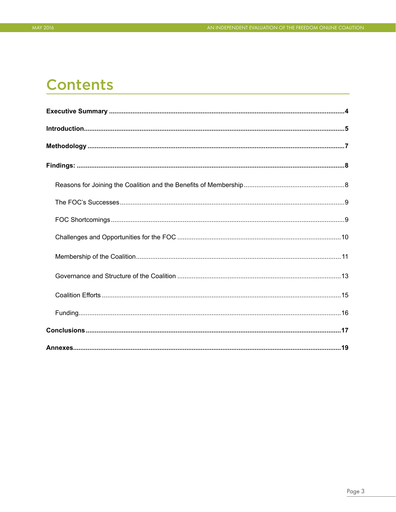## **Contents**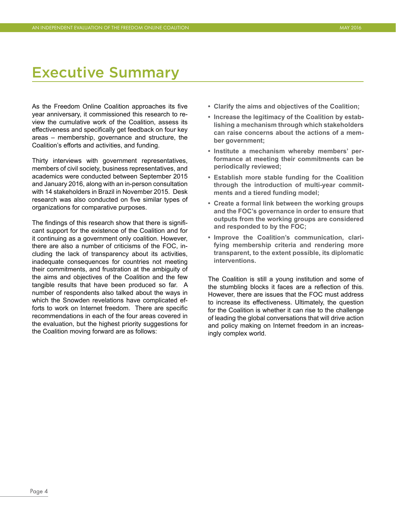## <span id="page-6-0"></span>Executive Summary

As the Freedom Online Coalition approaches its five year anniversary, it commissioned this research to review the cumulative work of the Coalition, assess its effectiveness and specifically get feedback on four key areas – membership, governance and structure, the Coalition's efforts and activities, and funding.

Thirty interviews with government representatives, members of civil society, business representatives, and academics were conducted between September 2015 and January 2016, along with an in-person consultation with 14 stakeholders in Brazil in November 2015. Desk research was also conducted on five similar types of organizations for comparative purposes.

The findings of this research show that there is significant support for the existence of the Coalition and for it continuing as a government only coalition. However, there are also a number of criticisms of the FOC, including the lack of transparency about its activities, inadequate consequences for countries not meeting their commitments, and frustration at the ambiguity of the aims and objectives of the Coalition and the few tangible results that have been produced so far. A number of respondents also talked about the ways in which the Snowden revelations have complicated efforts to work on Internet freedom. There are specific recommendations in each of the four areas covered in the evaluation, but the highest priority suggestions for the Coalition moving forward are as follows:

- **• Clarify the aims and objectives of the Coalition;**
- **• Increase the legitimacy of the Coalition by establishing a mechanism through which stakeholders can raise concerns about the actions of a member government;**
- **• Institute a mechanism whereby members' performance at meeting their commitments can be periodically reviewed;**
- **• Establish more stable funding for the Coalition through the introduction of multi-year commitments and a tiered funding model;**
- **• Create a formal link between the working groups and the FOC's governance in order to ensure that outputs from the working groups are considered and responded to by the FOC;**
- **• Improve the Coalition's communication, clarifying membership criteria and rendering more transparent, to the extent possible, its diplomatic interventions.**

The Coalition is still a young institution and some of the stumbling blocks it faces are a reflection of this. However, there are issues that the FOC must address to increase its effectiveness. Ultimately, the question for the Coalition is whether it can rise to the challenge of leading the global conversations that will drive action and policy making on Internet freedom in an increasingly complex world.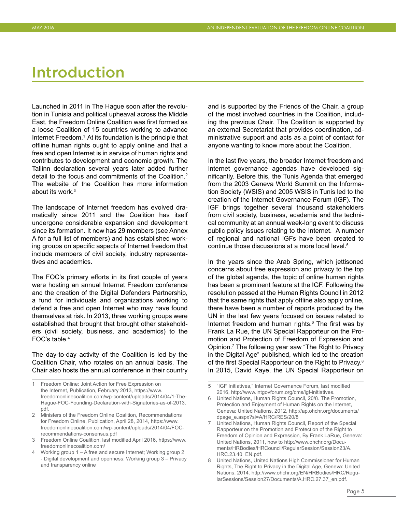## <span id="page-7-0"></span>Introduction

Launched in 2011 in The Hague soon after the revolution in Tunisia and political upheaval across the Middle East, the Freedom Online Coalition was first formed as a loose Coalition of 15 countries working to advance Internet Freedom.<sup>1</sup> At its foundation is the principle that offline human rights ought to apply online and that a free and open Internet is in service of human rights and contributes to development and economic growth. The Tallinn declaration several years later added further detail to the focus and commitments of the Coalition.2 The website of the Coalition has more information about its work.3

The landscape of Internet freedom has evolved dramatically since 2011 and the Coalition has itself undergone considerable expansion and development since its formation. It now has 29 members (see Annex A for a full list of members) and has established working groups on specific aspects of Internet freedom that include members of civil society, industry representatives and academics.

The FOC's primary efforts in its first couple of years were hosting an annual Internet Freedom conference and the creation of the Digital Defenders Partnership, a fund for individuals and organizations working to defend a free and open Internet who may have found themselves at risk. In 2013, three working groups were established that brought that brought other stakeholders (civil society, business, and academics) to the FOC's table.<sup>4</sup>

The day-to-day activity of the Coalition is led by the Coalition Chair, who rotates on an annual basis. The Chair also hosts the annual conference in their country

- 2 Ministers of the Freedom Online Coalition, Recommendations for Freedom Online, Publication, April 28, 2014, [https://www.](https://www.freedomonlinecoalition.com/wp-content/uploads/2014/04/FOC-recommendations-consensus.pdf) [freedomonlinecoalition.com/wp-content/uploads/2014/04/FOC](https://www.freedomonlinecoalition.com/wp-content/uploads/2014/04/FOC-recommendations-consensus.pdf)[recommendations-consensus.pdf](https://www.freedomonlinecoalition.com/wp-content/uploads/2014/04/FOC-recommendations-consensus.pdf)
- 3 Freedom Online Coalition, last modified April 2016, [https://www.](https://www.freedomonlinecoalition.com) [freedomonlinecoalition.com](https://www.freedomonlinecoalition.com)/
- 4 Working group 1 A free and secure Internet; Working group 2 - Digital development and openness; Working group 3 – Privacy and transparency online

and is supported by the Friends of the Chair, a group of the most involved countries in the Coalition, including the previous Chair. The Coalition is supported by an external Secretariat that provides coordination, administrative support and acts as a point of contact for anyone wanting to know more about the Coalition.

In the last five years, the broader Internet freedom and Internet governance agendas have developed significantly. Before this, the Tunis Agenda that emerged from the 2003 Geneva World Summit on the Information Society (WSIS) and 2005 WSIS in Tunis led to the creation of the Internet Governance Forum (IGF). The IGF brings together several thousand stakeholders from civil society, business, academia and the technical community at an annual week-long event to discuss public policy issues relating to the Internet. A number of regional and national IGFs have been created to continue those discussions at a more local level.<sup>5</sup>

In the years since the Arab Spring, which jettisoned concerns about free expression and privacy to the top of the global agenda, the topic of online human rights has been a prominent feature at the IGF. Following the resolution passed at the Human Rights Council in 2012 that the same rights that apply offline also apply online, there have been a number of reports produced by the UN in the last few years focused on issues related to Internet freedom and human rights.<sup>6</sup> The first was by Frank La Rue, the UN Special Rapporteur on the Promotion and Protection of Freedom of Expression and Opinion.<sup>7</sup> The following year saw "The Right to Privacy in the Digital Age" published, which led to the creation of the first Special Rapporteur on the Right to Privacy.<sup>8</sup> In 2015, David Kaye, the UN Special Rapporteur on

- 6 United Nations, Human Rights Council, 20/8. The Promotion, Protection and Enjoyment of Human Rights on the Internet, Geneva: United Nations, 2012, [http://ap.ohchr.org/documents/](http://ap.ohchr.org/documents/dpage_e.aspx?si=A/HRC/RES/20/8) [dpage\\_e.aspx?si=A/HRC/RES/20/8](http://ap.ohchr.org/documents/dpage_e.aspx?si=A/HRC/RES/20/8)
- 7 United Nations, Human Rights Council, Report of the Special Rapporteur on the Promotion and Protection of the Right to Freedom of Opinion and Expression, By Frank LaRue, Geneva: United Nations, 2011, how to [http://www.ohchr.org/Docu](http://www.ohchr.org/Documents/HRBodies/HRCouncil/RegularSession/Session23/A.HRC.23.40_EN.pdf)[ments/HRBodies/HRCouncil/RegularSession/Session23/A.](http://www.ohchr.org/Documents/HRBodies/HRCouncil/RegularSession/Session23/A.HRC.23.40_EN.pdf) [HRC.23.40\\_EN.pdf.](http://www.ohchr.org/Documents/HRBodies/HRCouncil/RegularSession/Session23/A.HRC.23.40_EN.pdf)
- United Nations, United Nations High Commissioner for Human Rights, The Right to Privacy in the Digital Age, Geneva: United Nations, 2014. [http://www.ohchr.org/EN/HRBodies/HRC/Regu](http://www.ohchr.org/EN/HRBodies/HRC/RegularSessions/Session27/Documents/A.HRC.27.37_en.pdf)[larSessions/Session27/Documents/A.HRC.27.37\\_en.pdf](http://www.ohchr.org/EN/HRBodies/HRC/RegularSessions/Session27/Documents/A.HRC.27.37_en.pdf).

<sup>1</sup> Freedom Online: Joint Action for Free Expression on the Internet, Publication, February 2013, [https://www.](https://www.freedomonlinecoalition.com/wp-content/uploads/2014/04/1-The-Hague-FOC-Founding-Declaration-with-Signatories-as-of-2013.pdf) [freedomonlinecoalition.com/wp-content/uploads/2014/04/1-The-](https://www.freedomonlinecoalition.com/wp-content/uploads/2014/04/1-The-Hague-FOC-Founding-Declaration-with-Signatories-as-of-2013.pdf)[Hague-FOC-Founding-Declaration-with-Signatories-as-of-2013.](https://www.freedomonlinecoalition.com/wp-content/uploads/2014/04/1-The-Hague-FOC-Founding-Declaration-with-Signatories-as-of-2013.pdf) [pdf](https://www.freedomonlinecoalition.com/wp-content/uploads/2014/04/1-The-Hague-FOC-Founding-Declaration-with-Signatories-as-of-2013.pdf).

<sup>5</sup> "IGF Initiatives," Internet Governance Forum, last modified 2016,<http://www.intgovforum.org/cms/igf-initiatives>.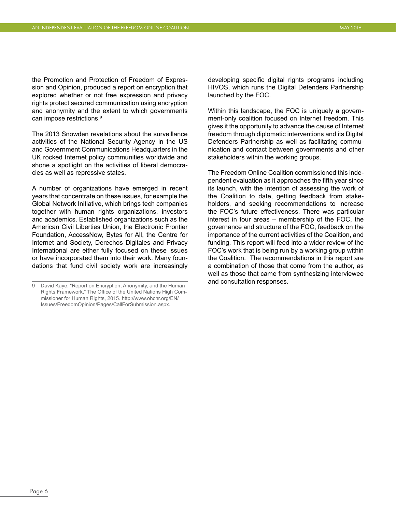the Promotion and Protection of Freedom of Expression and Opinion, produced a report on encryption that explored whether or not free expression and privacy rights protect secured communication using encryption and anonymity and the extent to which governments can impose restrictions.<sup>9</sup>

The 2013 Snowden revelations about the surveillance activities of the National Security Agency in the US and Government Communications Headquarters in the UK rocked Internet policy communities worldwide and shone a spotlight on the activities of liberal democracies as well as repressive states.

A number of organizations have emerged in recent years that concentrate on these issues, for example the Global Network Initiative, which brings tech companies together with human rights organizations, investors and academics. Established organizations such as the American Civil Liberties Union, the Electronic Frontier Foundation, AccessNow, Bytes for All, the Centre for Internet and Society, Derechos Digitales and Privacy International are either fully focused on these issues or have incorporated them into their work. Many foundations that fund civil society work are increasingly

developing specific digital rights programs including HIVOS, which runs the Digital Defenders Partnership launched by the FOC.

Within this landscape, the FOC is uniquely a government-only coalition focused on Internet freedom. This gives it the opportunity to advance the cause of Internet freedom through diplomatic interventions and its Digital Defenders Partnership as well as facilitating communication and contact between governments and other stakeholders within the working groups.

The Freedom Online Coalition commissioned this independent evaluation as it approaches the fifth year since its launch, with the intention of assessing the work of the Coalition to date, getting feedback from stakeholders, and seeking recommendations to increase the FOC's future effectiveness. There was particular interest in four areas – membership of the FOC, the governance and structure of the FOC, feedback on the importance of the current activities of the Coalition, and funding. This report will feed into a wider review of the FOC's work that is being run by a working group within the Coalition. The recommendations in this report are a combination of those that come from the author, as well as those that came from synthesizing interviewee and consultation responses.

<sup>9</sup> David Kaye, "Report on Encryption, Anonymity, and the Human Rights Framework," The Office of the United Nations High Commissioner for Human Rights, 2015. [http://www.ohchr.org/EN/](http://www.ohchr.org/EN/Issues/FreedomOpinion/Pages/CallForSubmission.aspx) [Issues/FreedomOpinion/Pages/CallForSubmission.aspx.](http://www.ohchr.org/EN/Issues/FreedomOpinion/Pages/CallForSubmission.aspx)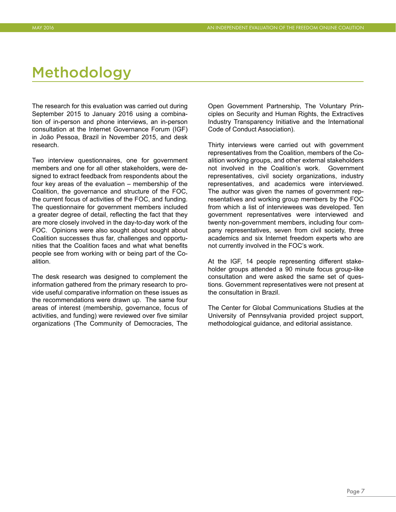## <span id="page-9-0"></span>Methodology

The research for this evaluation was carried out during September 2015 to January 2016 using a combination of in-person and phone interviews, an in-person consultation at the Internet Governance Forum (IGF) in João Pessoa, Brazil in November 2015, and desk research.

Two interview questionnaires, one for government members and one for all other stakeholders, were designed to extract feedback from respondents about the four key areas of the evaluation – membership of the Coalition, the governance and structure of the FOC, the current focus of activities of the FOC, and funding. The questionnaire for government members included a greater degree of detail, reflecting the fact that they are more closely involved in the day-to-day work of the FOC. Opinions were also sought about sought about Coalition successes thus far, challenges and opportunities that the Coalition faces and what what benefits people see from working with or being part of the Coalition.

The desk research was designed to complement the information gathered from the primary research to provide useful comparative information on these issues as the recommendations were drawn up. The same four areas of interest (membership, governance, focus of activities, and funding) were reviewed over five similar organizations (The Community of Democracies, The Open Government Partnership, The Voluntary Principles on Security and Human Rights, the Extractives Industry Transparency Initiative and the International Code of Conduct Association).

Thirty interviews were carried out with government representatives from the Coalition, members of the Coalition working groups, and other external stakeholders not involved in the Coalition's work. Government representatives, civil society organizations, industry representatives, and academics were interviewed. The author was given the names of government representatives and working group members by the FOC from which a list of interviewees was developed. Ten government representatives were interviewed and twenty non-government members, including four company representatives, seven from civil society, three academics and six Internet freedom experts who are not currently involved in the FOC's work.

At the IGF, 14 people representing different stakeholder groups attended a 90 minute focus group-like consultation and were asked the same set of questions. Government representatives were not present at the consultation in Brazil.

The Center for Global Communications Studies at the University of Pennsylvania provided project support, methodological guidance, and editorial assistance.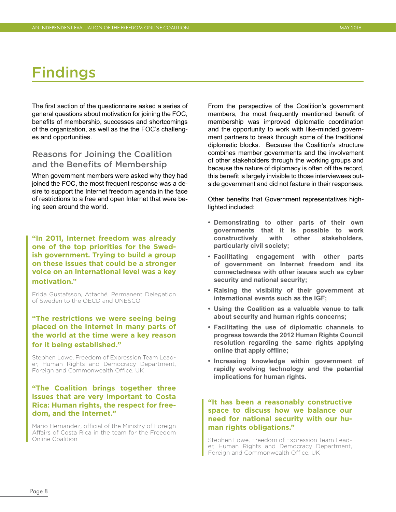## <span id="page-10-0"></span>Findings

The first section of the questionnaire asked a series of general questions about motivation for joining the FOC, benefits of membership, successes and shortcomings of the organization, as well as the the FOC's challenges and opportunities.

### Reasons for Joining the Coalition and the Benefits of Membership

When government members were asked why they had joined the FOC, the most frequent response was a desire to support the Internet freedom agenda in the face of restrictions to a free and open Internet that were being seen around the world.

**"In 2011, Internet freedom was already one of the top priorities for the Swedish government. Trying to build a group on these issues that could be a stronger voice on an international level was a key motivation."** 

Frida Gustafsson, Attaché, Permanent Delegation of Sweden to the OECD and UNESCO

#### **"The restrictions we were seeing being placed on the Internet in many parts of the world at the time were a key reason for it being established."**

Stephen Lowe, Freedom of Expression Team Leader, Human Rights and Democracy Department, Foreign and Commonwealth Office, UK

#### **"The Coalition brings together three issues that are very important to Costa Rica: Human rights, the respect for freedom, and the Internet."**

Mario Hernandez, official of the Ministry of Foreign Affairs of Costa Rica in the team for the Freedom Online Coalition

From the perspective of the Coalition's government members, the most frequently mentioned benefit of membership was improved diplomatic coordination and the opportunity to work with like-minded government partners to break through some of the traditional diplomatic blocks. Because the Coalition's structure combines member governments and the involvement of other stakeholders through the working groups and because the nature of diplomacy is often off the record, this benefit is largely invisible to those interviewees outside government and did not feature in their responses.

Other benefits that Government representatives highlighted included:

- **• Demonstrating to other parts of their own governments that it is possible to work constructively with other stakeholders, particularly civil society;**
- **• Facilitating engagement with other parts of government on Internet freedom and its connectedness with other issues such as cyber security and national security;**
- **• Raising the visibility of their government at international events such as the IGF;**
- **• Using the Coalition as a valuable venue to talk about security and human rights concerns;**
- **• Facilitating the use of diplomatic channels to progress towards the 2012 Human Rights Council resolution regarding the same rights applying online that apply offline;**
- **• Increasing knowledge within government of rapidly evolving technology and the potential implications for human rights.**

#### **"It has been a reasonably constructive space to discuss how we balance our need for national security with our human rights obligations."**

Stephen Lowe, Freedom of Expression Team Leader, Human Rights and Democracy Department, Foreign and Commonwealth Office, UK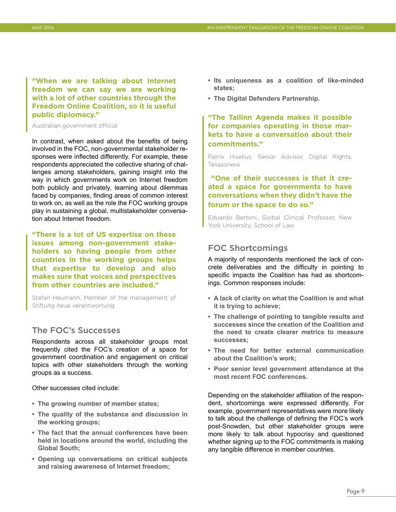<span id="page-11-0"></span>**"When we are talking about Internet freedom we can say we are working with a lot of other countries through the Freedom Online Coalition, so it is useful public diplomacy."** 

Australian government official

In contrast, when asked about the benefits of being involved in the FOC, non-governmental stakeholder responses were inflected differently. For example, these respondents appreciated the collective sharing of challenges among stakeholders, gaining insight into the way in which governments work on Internet freedom both publicly and privately, learning about dilemmas faced by companies, finding areas of common interest to work on, as well as the role the FOC working groups play in sustaining a global, multistakeholder conversation about Internet freedom.

**"There is a lot of US expertise on these issues among non-government stakeholders so having people from other countries in the working groups helps that expertise to develop and also makes sure that voices and perspectives from other countries are included."** 

Stefan Heumann, Member of the management of Stiftung neue verantwortung

## The FOC's Successes

Respondents across all stakeholder groups most frequently cited the FOC's creation of a space for government coordination and engagement on critical topics with other stakeholders through the working groups as a success.

Other successes cited include:

- **• The growing number of member states;**
- **• The quality of the substance and discussion in the working groups;**
- **• The fact that the annual conferences have been held in locations around the world, including the Global South;**
- **• Opening up conversations on critical subjects and raising awareness of Internet freedom;**
- **• Its uniqueness as a coalition of like-minded states;**
- **• The Digital Defenders Partnership.**

**"The Tallinn Agenda makes it possible for companies operating in those markets to have a conversation about their commitments."**

Patrik Hiselius, Senior Advisor, Digital Rights, Teliasonera

### **"One of their successes is that it created a space for governments to have conversations when they didn't have the forum or the space to do so."**

Eduardo Bertoni, Global Clinical Professor, New York University, School of Law

### FOC Shortcomings

A majority of respondents mentioned the lack of concrete deliverables and the difficulty in pointing to specific impacts the Coalition has had as shortcomings. Common responses include:

- **• A lack of clarity on what the Coalition is and what it is trying to achieve;**
- **• The challenge of pointing to tangible results and successes since the creation of the Coalition and the need to create clearer metrics to measure successes;**
- **• The need for better external communication about the Coalition's work;**
- **• Poor senior level government attendance at the most recent FOC conferences.**

Depending on the stakeholder affiliation of the respondent, shortcomings were expressed differently. For example, government representatives were more likely to talk about the challenge of defining the FOC's work post-Snowden, but other stakeholder groups were more likely to talk about hypocrisy and questioned whether signing up to the FOC commitments is making any tangible difference in member countries.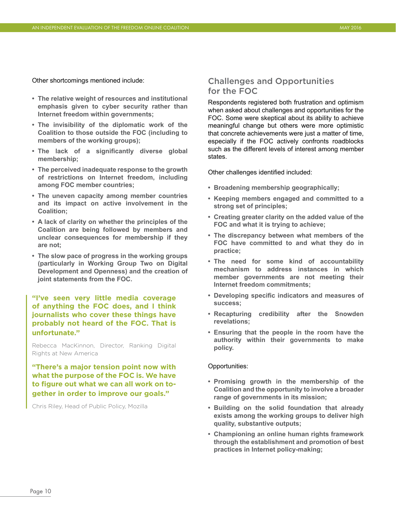<span id="page-12-0"></span>Other shortcomings mentioned include:

- **• The relative weight of resources and institutional emphasis given to cyber security rather than Internet freedom within governments;**
- **• The invisibility of the diplomatic work of the Coalition to those outside the FOC (including to members of the working groups);**
- **• The lack of a significantly diverse global membership;**
- **• The perceived inadequate response to the growth of restrictions on Internet freedom, including among FOC member countries;**
- **• The uneven capacity among member countries and its impact on active involvement in the Coalition;**
- **• A lack of clarity on whether the principles of the Coalition are being followed by members and unclear consequences for membership if they are not;**
- **• The slow pace of progress in the working groups (particularly in Working Group Two on Digital Development and Openness) and the creation of joint statements from the FOC.**

#### **"I've seen very little media coverage of anything the FOC does, and I think journalists who cover these things have probably not heard of the FOC. That is unfortunate."**

Rebecca MacKinnon, Director, Ranking Digital Rights at New America

**"There's a major tension point now with what the purpose of the FOC is. We have to figure out what we can all work on together in order to improve our goals."** 

Chris Riley, Head of Public Policy, Mozilla

### Challenges and Opportunities for the FOC

Respondents registered both frustration and optimism when asked about challenges and opportunities for the FOC. Some were skeptical about its ability to achieve meaningful change but others were more optimistic that concrete achievements were just a matter of time, especially if the FOC actively confronts roadblocks such as the different levels of interest among member states.

Other challenges identified included:

- **• Broadening membership geographically;**
- **• Keeping members engaged and committed to a strong set of principles;**
- **• Creating greater clarity on the added value of the FOC and what it is trying to achieve;**
- **• The discrepancy between what members of the FOC have committed to and what they do in practice;**
- **• The need for some kind of accountability mechanism to address instances in which member governments are not meeting their Internet freedom commitments;**
- **• Developing specific indicators and measures of success;**
- **• Recapturing credibility after the Snowden revelations;**
- **• Ensuring that the people in the room have the authority within their governments to make policy.**

#### Opportunities:

- **• Promising growth in the membership of the Coalition and the opportunity to involve a broader range of governments in its mission;**
- **• Building on the solid foundation that already exists among the working groups to deliver high quality, substantive outputs;**
- **• Championing an online human rights framework through the establishment and promotion of best practices in Internet policy-making;**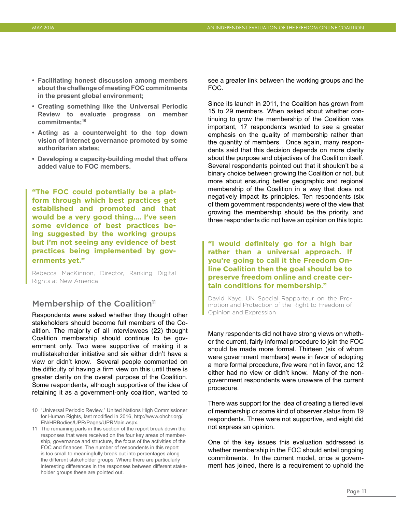- <span id="page-13-0"></span>**• Facilitating honest discussion among members about the challenge of meeting FOC commitments in the present global environment;**
- **• Creating something like the Universal Periodic Review to evaluate progress on member commitments;10**
- **• Acting as a counterweight to the top down vision of Internet governance promoted by some authoritarian states;**
- **• Developing a capacity-building model that offers added value to FOC members.**

**"The FOC could potentially be a platform through which best practices get established and promoted and that would be a very good thing…. I've seen some evidence of best practices being suggested by the working groups but I'm not seeing any evidence of best practices being implemented by governments yet."**

Rebecca MacKinnon, Director, Ranking Digital Rights at New America

### Membership of the Coalition<sup>11</sup>

Respondents were asked whether they thought other stakeholders should become full members of the Coalition. The majority of all interviewees (22) thought Coalition membership should continue to be government only. Two were supportive of making it a multistakeholder initiative and six either didn't have a view or didn't know. Several people commented on the difficulty of having a firm view on this until there is greater clarity on the overall purpose of the Coalition. Some respondents, although supportive of the idea of retaining it as a government-only coalition, wanted to

see a greater link between the working groups and the FOC.

Since its launch in 2011, the Coalition has grown from 15 to 29 members. When asked about whether continuing to grow the membership of the Coalition was important, 17 respondents wanted to see a greater emphasis on the quality of membership rather than the quantity of members. Once again, many respondents said that this decision depends on more clarity about the purpose and objectives of the Coalition itself. Several respondents pointed out that it shouldn't be a binary choice between growing the Coalition or not, but more about ensuring better geographic and regional membership of the Coalition in a way that does not negatively impact its principles. Ten respondents (six of them government respondents) were of the view that growing the membership should be the priority, and three respondents did not have an opinion on this topic.

**"I would definitely go for a high bar rather than a universal approach. If you're going to call it the Freedom Online Coalition then the goal should be to preserve freedom online and create certain conditions for membership."** 

David Kaye, UN Special Rapporteur on the Promotion and Protection of the Right to Freedom of Opinion and Expression

Many respondents did not have strong views on whether the current, fairly informal procedure to join the FOC should be made more formal. Thirteen (six of whom were government members) were in favor of adopting a more formal procedure, five were not in favor, and 12 either had no view or didn't know. Many of the nongovernment respondents were unaware of the current procedure.

There was support for the idea of creating a tiered level of membership or some kind of observer status from 19 respondents. Three were not supportive, and eight did not express an opinion.

One of the key issues this evaluation addressed is whether membership in the FOC should entail ongoing commitments. In the current model, once a government has joined, there is a requirement to uphold the

Page 11

<sup>10</sup> "Universal Periodic Review," United Nations High Commissioner for Human Rights, last modified in 2016, [http://www.ohchr.org/](http://www.ohchr.org/EN/HRBodies/UPR/Pages/UPRMain.aspx) [EN/HRBodies/UPR/Pages/UPRMain.aspx.](http://www.ohchr.org/EN/HRBodies/UPR/Pages/UPRMain.aspx)

<sup>11</sup> The remaining parts in this section of the report break down the responses that were received on the four key areas of membership, governance and structure, the focus of the activities of the FOC and finances. The number of respondents in this report is too small to meaningfully break out into percentages along the different stakeholder groups. Where there are particularly interesting differences in the responses between different stakeholder groups these are pointed out.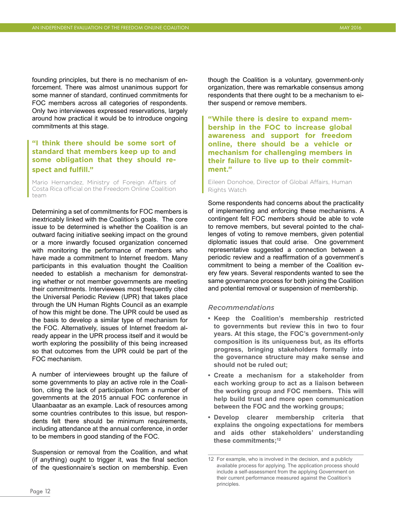founding principles, but there is no mechanism of enforcement. There was almost unanimous support for some manner of standard, continued commitments for FOC members across all categories of respondents. Only two interviewees expressed reservations, largely around how practical it would be to introduce ongoing commitments at this stage.

### **"I think there should be some sort of standard that members keep up to and some obligation that they should respect and fulfill."**

Mario Hernandez, Ministry of Foreign Affairs of Costa Rica official on the Freedom Online Coalition team

Determining a set of commitments for FOC members is inextricably linked with the Coalition's goals. The core issue to be determined is whether the Coalition is an outward facing initiative seeking impact on the ground or a more inwardly focused organization concerned with monitoring the performance of members who have made a commitment to Internet freedom. Many participants in this evaluation thought the Coalition needed to establish a mechanism for demonstrating whether or not member governments are meeting their commitments. Interviewees most frequently cited the Universal Periodic Review (UPR) that takes place through the UN Human Rights Council as an example of how this might be done. The UPR could be used as the basis to develop a similar type of mechanism for the FOC. Alternatively, issues of Internet freedom already appear in the UPR process itself and it would be worth exploring the possibility of this being increased so that outcomes from the UPR could be part of the FOC mechanism.

A number of interviewees brought up the failure of some governments to play an active role in the Coalition, citing the lack of participation from a number of governments at the 2015 annual FOC conference in Ulaanbaatar as an example. Lack of resources among some countries contributes to this issue, but respondents felt there should be minimum requirements, including attendance at the annual conference, in order to be members in good standing of the FOC.

Suspension or removal from the Coalition, and what (if anything) ought to trigger it, was the final section of the questionnaire's section on membership. Even though the Coalition is a voluntary, government-only organization, there was remarkable consensus among respondents that there ought to be a mechanism to either suspend or remove members.

**"While there is desire to expand membership in the FOC to increase global awareness and support for freedom online, there should be a vehicle or mechanism for challenging members in their failure to live up to their commitment."** 

Eileen Donohoe, Director of Global Affairs, Human Rights Watch

Some respondents had concerns about the practicality of implementing and enforcing these mechanisms. A contingent felt FOC members should be able to vote to remove members, but several pointed to the challenges of voting to remove members, given potential diplomatic issues that could arise. One government representative suggested a connection between a periodic review and a reaffirmation of a government's commitment to being a member of the Coalition every few years. Several respondents wanted to see the same governance process for both joining the Coalition and potential removal or suspension of membership.

#### *Recommendations*

- **• Keep the Coalition's membership restricted to governments but review this in two to four years. At this stage, the FOC's government-only composition is its uniqueness but, as its efforts progress, bringing stakeholders formally into the governance structure may make sense and should not be ruled out;**
- **• Create a mechanism for a stakeholder from each working group to act as a liaison between the working group and FOC members. This will help build trust and more open communication between the FOC and the working groups;**
- **• Develop clearer membership criteria that explains the ongoing expectations for members and aids other stakeholders' understanding these commitments;12**

<sup>12</sup> For example, who is involved in the decision, and a publicly available process for applying. The application process should include a self-assessment from the applying Government on their current performance measured against the Coalition's principles.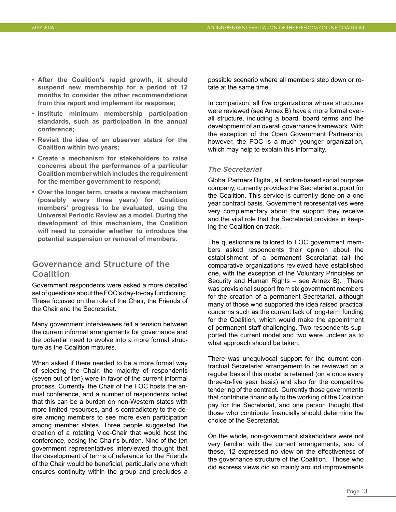- <span id="page-15-0"></span>**• After the Coalition's rapid growth, it should suspend new membership for a period of 12 months to consider the other recommendations from this report and implement its response;**
- **• Institute minimum membership participation standards, such as participation in the annual conference;**
- **• Revisit the idea of an observer status for the Coalition within two years;**
- **• Create a mechanism for stakeholders to raise concerns about the performance of a particular Coalition member which includes the requirement for the member government to respond;**
- **• Over the longer term, create a review mechanism (possibly every three years) for Coalition members' progress to be evaluated, using the Universal Periodic Review as a model. During the development of this mechanism, the Coalition will need to consider whether to introduce the potential suspension or removal of members.**

### Governance and Structure of the Coalition

Government respondents were asked a more detailed set of questions about the FOC's day-to-day functioning. These focused on the role of the Chair, the Friends of the Chair and the Secretariat.

Many government interviewees felt a tension between the current informal arrangements for governance and the potential need to evolve into a more formal structure as the Coalition matures.

When asked if there needed to be a more formal way of selecting the Chair, the majority of respondents (seven out of ten) were in favor of the current informal process. Currently, the Chair of the FOC hosts the annual conference, and a number of respondents noted that this can be a burden on non-Western states with more limited resources, and is contradictory to the desire among members to see more even participation among member states. Three people suggested the creation of a rotating Vice-Chair that would host the conference, easing the Chair's burden. Nine of the ten government representatives interviewed thought that the development of terms of reference for the Friends of the Chair would be beneficial, particularly one which ensures continuity within the group and precludes a

possible scenario where all members step down or rotate at the same time.

In comparison, all five organizations whose structures were reviewed (see Annex B) have a more formal overall structure, including a board, board terms and the development of an overall governance framework. With the exception of the Open Government Partnership, however, the FOC is a much younger organization, which may help to explain this informality.

#### *The Secretariat*

Global Partners Digital, a London-based social purpose company, currently provides the Secretariat support for the Coalition. This service is currently done on a one year contract basis. Government representatives were very complementary about the support they receive and the vital role that the Secretariat provides in keeping the Coalition on track.

The questionnaire tailored to FOC government members asked respondents their opinion about the establishment of a permanent Secretariat (all the comparative organizations reviewed have established one, with the exception of the Voluntary Principles on Security and Human Rights – see Annex B). There was provisional support from six government members for the creation of a permanent Secretariat, although many of those who supported the idea raised practical concerns such as the current lack of long-term funding for the Coalition, which would make the appointment of permanent staff challenging. Two respondents supported the current model and two were unclear as to what approach should be taken.

There was unequivocal support for the current contractual Secretariat arrangement to be reviewed on a regular basis if this model is retained (on a once every three-to-five year basis) and also for the competitive tendering of the contract. Currently those governments that contribute financially to the working of the Coalition pay for the Secretariat, and one person thought that those who contribute financially should determine the choice of the Secretariat.

On the whole, non-government stakeholders were not very familiar with the current arrangements, and of these, 12 expressed no view on the effectiveness of the governance structure of the Coalition. Those who did express views did so mainly around improvements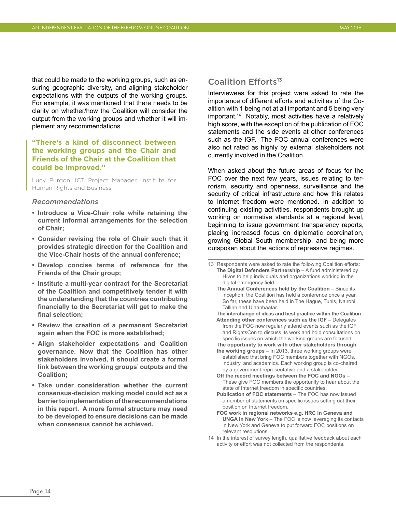that could be made to the working groups, such as ensuring geographic diversity, and aligning stakeholder expectations with the outputs of the working groups. For example, it was mentioned that there needs to be clarity on whether/how the Coalition will consider the output from the working groups and whether it will implement any recommendations.

#### **"There's a kind of disconnect between the working groups and the Chair and Friends of the Chair at the Coalition that could be improved."**

Lucy Purdon, ICT Project Manager, Institute for Human Rights and Business

#### *Recommendations*

- **• Introduce a Vice-Chair role while retaining the current informal arrangements for the selection of Chair;**
- **• Consider revising the role of Chair such that it provides strategic direction for the Coalition and the Vice-Chair hosts of the annual conference;**
- **• Develop concise terms of reference for the Friends of the Chair group;**
- **• Institute a multi-year contract for the Secretariat of the Coalition and competitively tender it with the understanding that the countries contributing financially to the Secretariat will get to make the final selection;**
- **• Review the creation of a permanent Secretariat again when the FOC is more established;**
- **• Align stakeholder expectations and Coalition governance. Now that the Coalition has other stakeholders involved, it should create a formal link between the working groups' outputs and the Coalition;**
- **• Take under consideration whether the current consensus-decision making model could act as a barrier to implementation of the recommendations in this report. A more formal structure may need to be developed to ensure decisions can be made when consensus cannot be achieved.**

### Coalition Efforts<sup>13</sup>

Interviewees for this project were asked to rate the importance of different efforts and activities of the Coalition with 1 being not at all important and 5 being very important.<sup>14</sup> Notably, most activities have a relatively high score, with the exception of the publication of FOC statements and the side events at other conferences such as the IGF. The FOC annual conferences were also not rated as highly by external stakeholders not currently involved in the Coalition.

When asked about the future areas of focus for the FOC over the next few years, issues relating to terrorism, security and openness, surveillance and the security of critical infrastructure and how this relates to Internet freedom were mentioned. In addition to continuing existing activities, respondents brought up working on normative standards at a regional level, beginning to issue government transparency reports, placing increased focus on diplomatic coordination, growing Global South membership, and being more outspoken about the actions of repressive regimes.

 **The interchange of ideas and best practice within the Coalition Attending other conferences such as the IGF** – Delegates from the FOC now regularly attend events such as the IGF and RightsCon to discuss its work and hold consultations on specific issues on which the working groups are focused.  **The opportunity to work with other stakeholders through**

- **the working groups**  In 2013, three working groups were established that bring FOC members together with NGOs, industry, and academics. Each working group is co-chaired by a government representative and a stakeholder.
- **Off the record meetings between the FOC and NGOs** These give FOC members the opportunity to hear about the state of Internet freedom in specific countries.
- **Publication of FOC statements** The FOC has now issued a number of statements on specific issues setting out their position on Internet freedom.
- **FOC work in regional networks e.g. HRC in Geneva and UNGA in New York** – The FOC is now leveraging its contacts in New York and Geneva to put forward FOC positions on relevant resolutions.
- 14 In the interest of survey length, qualitative feedback about each activity or effort was not collected from the respondents.

<sup>13</sup> Respondents were asked to rate the following Coalition efforts: **The Digital Defenders Partnership** – A fund administered by Hivos to help individuals and organizations working in the digital emergency field.

**The Annual Conferences held by the Coalition - Since its** inception, the Coalition has held a conference once a year. So far, these have been held in The Hague, Tunis, Nairobi, Tallinn and Ulaanbaatar.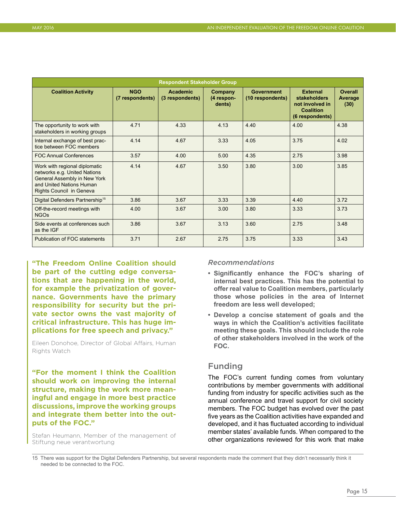<span id="page-17-0"></span>

| <b>Respondent Stakeholder Group</b>                                                                                                                   |                               |                                    |                                 |                                       |                                                                                    |                                   |
|-------------------------------------------------------------------------------------------------------------------------------------------------------|-------------------------------|------------------------------------|---------------------------------|---------------------------------------|------------------------------------------------------------------------------------|-----------------------------------|
| <b>Coalition Activity</b>                                                                                                                             | <b>NGO</b><br>(7 respondents) | <b>Academic</b><br>(3 respondents) | Company<br>(4 respon-<br>dents) | <b>Government</b><br>(10 respondents) | <b>External</b><br>stakeholders<br>not involved in<br>Coalition<br>(6 respondents) | <b>Overall</b><br>Average<br>(30) |
| The opportunity to work with<br>stakeholders in working groups                                                                                        | 4.71                          | 4.33                               | 4.13                            | 4.40                                  | 4.00                                                                               | 4.38                              |
| Internal exchange of best prac-<br>tice between FOC members                                                                                           | 4.14                          | 4.67                               | 3.33                            | 4.05                                  | 3.75                                                                               | 4.02                              |
| <b>FOC Annual Conferences</b>                                                                                                                         | 3.57                          | 4.00                               | 5.00                            | 4.35                                  | 2.75                                                                               | 3.98                              |
| Work with regional diplomatic<br>networks e.g. United Nations<br>General Assembly in New York<br>and United Nations Human<br>Rights Council in Geneva | 4.14                          | 4.67                               | 3.50                            | 3.80                                  | 3.00                                                                               | 3.85                              |
| Digital Defenders Partnership <sup>15</sup>                                                                                                           | 3.86                          | 3.67                               | 3.33                            | 3.39                                  | 4.40                                                                               | 3.72                              |
| Off-the-record meetings with<br><b>NGOs</b>                                                                                                           | 4.00                          | 3.67                               | 3.00                            | 3.80                                  | 3.33                                                                               | 3.73                              |
| Side events at conferences such<br>as the IGF                                                                                                         | 3.86                          | 3.67                               | 3.13                            | 3.60                                  | 2.75                                                                               | 3.48                              |
| Publication of FOC statements                                                                                                                         | 3.71                          | 2.67                               | 2.75                            | 3.75                                  | 3.33                                                                               | 3.43                              |

**"The Freedom Online Coalition should be part of the cutting edge conversations that are happening in the world, for example the privatization of governance. Governments have the primary responsibility for security but the private sector owns the vast majority of critical infrastructure. This has huge implications for free speech and privacy."** 

Eileen Donohoe, Director of Global Affairs, Human Rights Watch

**"For the moment I think the Coalition should work on improving the internal structure, making the work more meaningful and engage in more best practice discussions, improve the working groups and integrate them better into the outputs of the FOC."** 

Stefan Heumann, Member of the management of Stiftung neue verantwortung

#### *Recommendations*

- **• Significantly enhance the FOC's sharing of internal best practices. This has the potential to offer real value to Coalition members, particularly those whose policies in the area of Internet freedom are less well developed;**
- **• Develop a concise statement of goals and the ways in which the Coalition's activities facilitate meeting these goals. This should include the role of other stakeholders involved in the work of the FOC.**

### Funding

The FOC's current funding comes from voluntary contributions by member governments with additional funding from industry for specific activities such as the annual conference and travel support for civil society members. The FOC budget has evolved over the past five years as the Coalition activities have expanded and developed, and it has fluctuated according to individual member states' available funds. When compared to the other organizations reviewed for this work that make

<sup>15</sup> There was support for the Digital Defenders Partnership, but several respondents made the comment that they didn't necessarily think it needed to be connected to the FOC.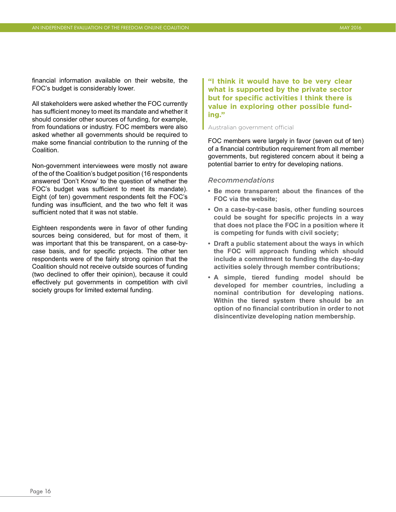<span id="page-18-0"></span>financial information available on their website, the FOC's budget is considerably lower.

All stakeholders were asked whether the FOC currently has sufficient money to meet its mandate and whether it should consider other sources of funding, for example, from foundations or industry. FOC members were also asked whether all governments should be required to make some financial contribution to the running of the Coalition.

Non-government interviewees were mostly not aware of the of the Coalition's budget position (16 respondents answered 'Don't Know' to the question of whether the FOC's budget was sufficient to meet its mandate). Eight (of ten) government respondents felt the FOC's funding was insufficient, and the two who felt it was sufficient noted that it was not stable.

Eighteen respondents were in favor of other funding sources being considered, but for most of them, it was important that this be transparent, on a case-bycase basis, and for specific projects. The other ten respondents were of the fairly strong opinion that the Coalition should not receive outside sources of funding (two declined to offer their opinion), because it could effectively put governments in competition with civil society groups for limited external funding.

#### **"I think it would have to be very clear what is supported by the private sector but for specific activities I think there is value in exploring other possible funding."**

#### Australian government official

FOC members were largely in favor (seven out of ten) of a financial contribution requirement from all member governments, but registered concern about it being a potential barrier to entry for developing nations.

#### *Recommendations*

- **• Be more transparent about the finances of the FOC via the website;**
- **• On a case-by-case basis, other funding sources could be sought for specific projects in a way that does not place the FOC in a position where it is competing for funds with civil society;**
- **• Draft a public statement about the ways in which the FOC will approach funding which should include a commitment to funding the day-to-day activities solely through member contributions;**
- **• A simple, tiered funding model should be developed for member countries, including a nominal contribution for developing nations. Within the tiered system there should be an option of no financial contribution in order to not disincentivize developing nation membership.**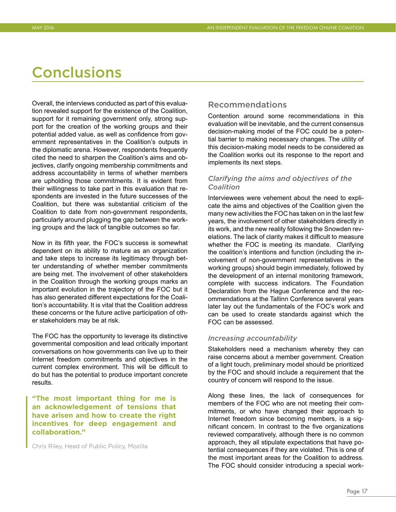## <span id="page-19-0"></span>**Conclusions**

Overall, the interviews conducted as part of this evaluation revealed support for the existence of the Coalition, support for it remaining government only, strong support for the creation of the working groups and their potential added value, as well as confidence from government representatives in the Coalition's outputs in the diplomatic arena. However, respondents frequently cited the need to sharpen the Coalition's aims and objectives, clarify ongoing membership commitments and address accountability in terms of whether members are upholding those commitments. It is evident from their willingness to take part in this evaluation that respondents are invested in the future successes of the Coalition, but there was substantial criticism of the Coalition to date from non-government respondents, particularly around plugging the gap between the working groups and the lack of tangible outcomes so far.

Now in its fifth year, the FOC's success is somewhat dependent on its ability to mature as an organization and take steps to increase its legitimacy through better understanding of whether member commitments are being met. The involvement of other stakeholders in the Coalition through the working groups marks an important evolution in the trajectory of the FOC but it has also generated different expectations for the Coalition's accountability. It is vital that the Coalition address these concerns or the future active participation of other stakeholders may be at risk.

The FOC has the opportunity to leverage its distinctive governmental composition and lead critically important conversations on how governments can live up to their Internet freedom commitments and objectives in the current complex environment. This will be difficult to do but has the potential to produce important concrete results.

**"The most important thing for me is an acknowledgement of tensions that have arisen and how to create the right incentives for deep engagement and collaboration."** 

Chris Riley, Head of Public Policy, Mozilla

#### Recommendations

Contention around some recommendations in this evaluation will be inevitable, and the current consensus decision-making model of the FOC could be a potential barrier to making necessary changes. The utility of this decision-making model needs to be considered as the Coalition works out its response to the report and implements its next steps.

#### *Clarifying the aims and objectives of the Coalition*

Interviewees were vehement about the need to explicate the aims and objectives of the Coalition given the many new activities the FOC has taken on in the last few years, the involvement of other stakeholders directly in its work, and the new reality following the Snowden revelations. The lack of clarity makes it difficult to measure whether the FOC is meeting its mandate. Clarifying the coalition's intentions and function (including the involvement of non-government representatives in the working groups) should begin immediately, followed by the development of an internal monitoring framework, complete with success indicators. The Foundation Declaration from the Hague Conference and the recommendations at the Tallinn Conference several years later lay out the fundamentals of the FOC's work and can be used to create standards against which the FOC can be assessed.

#### *Increasing accountability*

Stakeholders need a mechanism whereby they can raise concerns about a member government. Creation of a light touch, preliminary model should be prioritized by the FOC and should include a requirement that the country of concern will respond to the issue.

Along these lines, the lack of consequences for members of the FOC who are not meeting their commitments, or who have changed their approach to Internet freedom since becoming members, is a significant concern. In contrast to the five organizations reviewed comparatively, although there is no common approach, they all stipulate expectations that have potential consequences if they are violated. This is one of the most important areas for the Coalition to address. The FOC should consider introducing a special work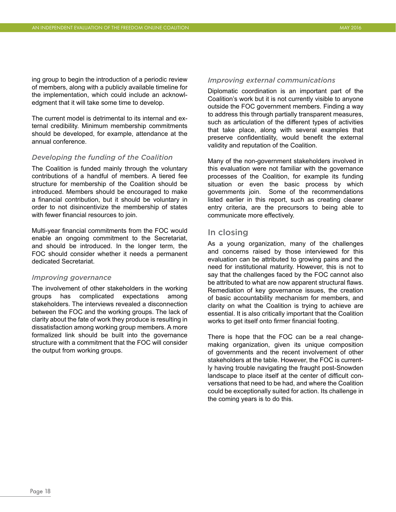ing group to begin the introduction of a periodic review of members, along with a publicly available timeline for the implementation, which could include an acknowledgment that it will take some time to develop.

The current model is detrimental to its internal and external credibility. Minimum membership commitments should be developed, for example, attendance at the annual conference.

#### *Developing the funding of the Coalition*

The Coalition is funded mainly through the voluntary contributions of a handful of members. A tiered fee structure for membership of the Coalition should be introduced. Members should be encouraged to make a financial contribution, but it should be voluntary in order to not disincentivize the membership of states with fewer financial resources to join.

Multi-year financial commitments from the FOC would enable an ongoing commitment to the Secretariat, and should be introduced. In the longer term, the FOC should consider whether it needs a permanent dedicated Secretariat.

#### *Improving governance*

The involvement of other stakeholders in the working groups has complicated expectations among stakeholders. The interviews revealed a disconnection between the FOC and the working groups. The lack of clarity about the fate of work they produce is resulting in dissatisfaction among working group members. A more formalized link should be built into the governance structure with a commitment that the FOC will consider the output from working groups.

#### *Improving external communications*

Diplomatic coordination is an important part of the Coalition's work but it is not currently visible to anyone outside the FOC government members. Finding a way to address this through partially transparent measures, such as articulation of the different types of activities that take place, along with several examples that preserve confidentiality, would benefit the external validity and reputation of the Coalition.

Many of the non-government stakeholders involved in this evaluation were not familiar with the governance processes of the Coalition, for example its funding situation or even the basic process by which governments join. Some of the recommendations listed earlier in this report, such as creating clearer entry criteria, are the precursors to being able to communicate more effectively.

#### In closing

As a young organization, many of the challenges and concerns raised by those interviewed for this evaluation can be attributed to growing pains and the need for institutional maturity. However, this is not to say that the challenges faced by the FOC cannot also be attributed to what are now apparent structural flaws. Remediation of key governance issues, the creation of basic accountability mechanism for members, and clarity on what the Coalition is trying to achieve are essential. It is also critically important that the Coalition works to get itself onto firmer financial footing.

There is hope that the FOC can be a real changemaking organization, given its unique composition of governments and the recent involvement of other stakeholders at the table. However, the FOC is currently having trouble navigating the fraught post-Snowden landscape to place itself at the center of difficult conversations that need to be had, and where the Coalition could be exceptionally suited for action. Its challenge in the coming years is to do this.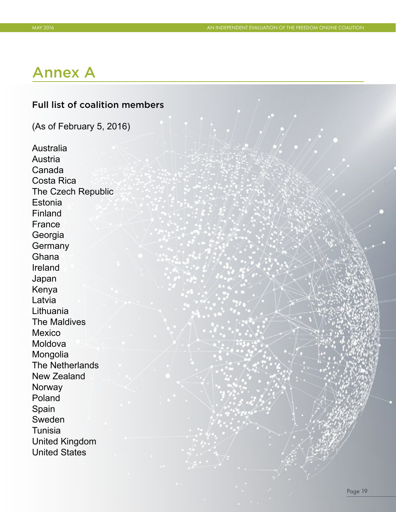## <span id="page-21-0"></span>Annex A

## Full list of coalition members

(As of February 5, 2016)

Australia Austria Canada Costa Rica The Czech Republic **Estonia** Finland France Georgia **Germany Ghana** Ireland Japan Kenya Latvia Lithuania The Maldives Mexico Moldova Mongolia The Netherlands New Zealand **Norway** Poland Spain Sweden **Tunisia** United Kingdom United States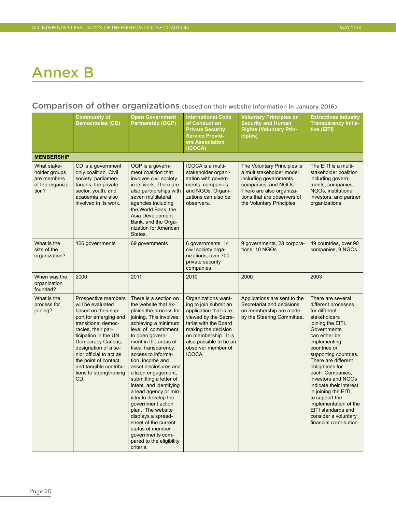## Annex B

## Comparison of other organizations (based on their website information in January 2016)

|                                                                          | <b>Community of</b><br><b>Democracies (CD)</b>                                                                                                                                                                                                                                                                            | <b>Open Government</b><br><b>Partnership (OGP)</b>                                                                                                                                                                                                                                                                                                                                                                                                                                                                                                                                          | <b>International Code</b><br>of Conduct on<br><b>Private Security</b><br><b>Service Provid-</b><br>ers Association<br>(ICOCA)                                                                                                     | <b>Voluntary Principles on</b><br><b>Security and Human</b><br><b>Rights (Voluntary Prin-</b><br>ciples)                                                                                          | <b>Extractives Industry</b><br><b>Transparency Initia-</b><br>tive (EITI)                                                                                                                                                                                                                                                                                                                                                                          |
|--------------------------------------------------------------------------|---------------------------------------------------------------------------------------------------------------------------------------------------------------------------------------------------------------------------------------------------------------------------------------------------------------------------|---------------------------------------------------------------------------------------------------------------------------------------------------------------------------------------------------------------------------------------------------------------------------------------------------------------------------------------------------------------------------------------------------------------------------------------------------------------------------------------------------------------------------------------------------------------------------------------------|-----------------------------------------------------------------------------------------------------------------------------------------------------------------------------------------------------------------------------------|---------------------------------------------------------------------------------------------------------------------------------------------------------------------------------------------------|----------------------------------------------------------------------------------------------------------------------------------------------------------------------------------------------------------------------------------------------------------------------------------------------------------------------------------------------------------------------------------------------------------------------------------------------------|
| <b>MEMBERSHIP</b>                                                        |                                                                                                                                                                                                                                                                                                                           |                                                                                                                                                                                                                                                                                                                                                                                                                                                                                                                                                                                             |                                                                                                                                                                                                                                   |                                                                                                                                                                                                   |                                                                                                                                                                                                                                                                                                                                                                                                                                                    |
| What stake-<br>holder groups<br>are members<br>of the organiza-<br>tion? | CD is a government<br>only coalition. Civil<br>society, parliamen-<br>tarians, the private<br>sector, youth, and<br>academia are also<br>involved in its work.                                                                                                                                                            | OGP is a govern-<br>ment coalition that<br>involves civil society<br>in its work. There are<br>also partnerships with<br>seven multilateral<br>agencies including<br>the World Bank, the<br>Asia Development<br>Bank, and the Orga-<br>nization for American<br>States.                                                                                                                                                                                                                                                                                                                     | ICOCA is a multi-<br>stakeholder organi-<br>zation with govern-<br>ments, companies<br>and NGOs. Organi-<br>zations can also be<br>observers.                                                                                     | The Voluntary Principles is<br>a multistakeholder model<br>including governments,<br>companies, and NGOs.<br>There are also organiza-<br>tions that are observers of<br>the Voluntary Principles. | The EITI is a multi-<br>stakeholder coalition<br>including govern-<br>ments, companies,<br>NGOs, institutional<br>investors, and partner<br>organizations.                                                                                                                                                                                                                                                                                         |
| What is the<br>size of the<br>organization?                              | 106 governments                                                                                                                                                                                                                                                                                                           | 69 governments                                                                                                                                                                                                                                                                                                                                                                                                                                                                                                                                                                              | 6 governments, 14<br>civil society orga-<br>nizations, over 700<br>private security<br>companies                                                                                                                                  | 9 governments, 28 corpora-<br>tions, 10 NGOs                                                                                                                                                      | 49 countries, over 90<br>companies, 9 NGOs                                                                                                                                                                                                                                                                                                                                                                                                         |
| When was the<br>organization<br>founded?                                 | 2000                                                                                                                                                                                                                                                                                                                      | 2011                                                                                                                                                                                                                                                                                                                                                                                                                                                                                                                                                                                        | 2010                                                                                                                                                                                                                              | 2000                                                                                                                                                                                              | 2003                                                                                                                                                                                                                                                                                                                                                                                                                                               |
| What is the<br>process for<br>joining?                                   | Prospective members<br>will be evaluated<br>based on their sup-<br>port for emerging and<br>transitional democ-<br>racies, their par-<br>ticipation in the UN<br>Democracy Caucus,<br>designation of a se-<br>nior official to act as<br>the point of contact,<br>and tangible contribu-<br>tions to strengthening<br>CD. | There is a section on<br>the website that ex-<br>plains the process for<br>joining. This involves<br>achieving a minimum<br>level of commitment<br>to open govern-<br>ment in the areas of<br>fiscal transparency,<br>access to informa-<br>tion, income and<br>asset disclosures and<br>citizen engagement,<br>submitting a letter of<br>intent, and identifying<br>a lead agency or min-<br>istry to develop the<br>government action<br>plan. The website<br>displays a spread-<br>sheet of the current<br>status of member<br>governments com-<br>pared to the eligibility<br>criteria. | Organizations want-<br>ing to join submit an<br>application that is re-<br>viewed by the Secre-<br>tariat with the Board<br>making the decision<br>on membership. It is<br>also possible to be an<br>observer member of<br>ICOCA. | Applications are sent to the<br>Secretariat and decisions<br>on membership are made<br>by the Steering Committee.                                                                                 | There are several<br>different processes<br>for different<br>stakeholders<br>joining the EITI.<br>Governments<br>can either be<br>implementing<br>countries or<br>supporting countries.<br>There are different<br>obligations for<br>each. Companies,<br>investors and NGOs<br>indicate their interest<br>in joining the EITI,<br>to support the<br>implementation of the<br>EITI standards and<br>consider a voluntary<br>financial contribution. |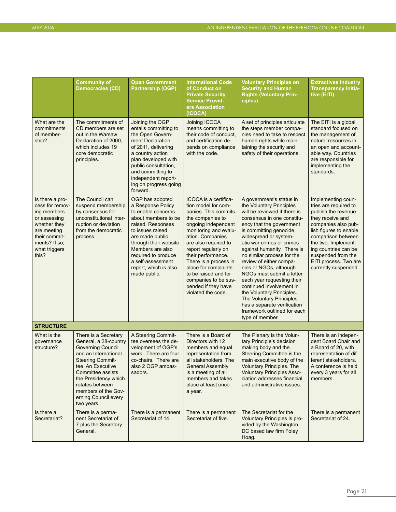|                                                                                                                                                              | <b>Community of</b><br><b>Democracies (CD)</b>                                                                                                                                                                                                                                 | <b>Open Government</b><br><b>Partnership (OGP)</b>                                                                                                                                                                                                                               | <b>International Code</b><br>of Conduct on<br><b>Private Security</b><br><b>Service Provid-</b><br>ers Association<br>(ICOCA)                                                                                                                                                                                                                                                   | <b>Voluntary Principles on</b><br><b>Security and Human</b><br><b>Rights (Voluntary Prin-</b><br>ciples)                                                                                                                                                                                                                                                                                                                                                                                                                                                                          | <b>Extractives Industry</b><br><b>Transparency Initia-</b><br>tive (EITI)                                                                                                                                                                                                           |
|--------------------------------------------------------------------------------------------------------------------------------------------------------------|--------------------------------------------------------------------------------------------------------------------------------------------------------------------------------------------------------------------------------------------------------------------------------|----------------------------------------------------------------------------------------------------------------------------------------------------------------------------------------------------------------------------------------------------------------------------------|---------------------------------------------------------------------------------------------------------------------------------------------------------------------------------------------------------------------------------------------------------------------------------------------------------------------------------------------------------------------------------|-----------------------------------------------------------------------------------------------------------------------------------------------------------------------------------------------------------------------------------------------------------------------------------------------------------------------------------------------------------------------------------------------------------------------------------------------------------------------------------------------------------------------------------------------------------------------------------|-------------------------------------------------------------------------------------------------------------------------------------------------------------------------------------------------------------------------------------------------------------------------------------|
| What are the<br>commitments<br>of member-<br>ship?                                                                                                           | The commitments of<br>CD members are set<br>out in the Warsaw<br>Declaration of 2000,<br>which includes 19<br>core democratic<br>principles.                                                                                                                                   | Joining the OGP<br>entails committing to<br>the Open Govern-<br>ment Declaration<br>of 2011, delivering<br>a country action<br>plan developed with<br>public consultation,<br>and committing to<br>independent report-<br>ing on progress going<br>forward.                      | Joining ICOCA<br>means committing to<br>their code of conduct,<br>and certification de-<br>pends on compliance<br>with the code.                                                                                                                                                                                                                                                | A set of principles articulate<br>the steps member compa-<br>nies need to take to respect<br>human rights while main-<br>taining the security and<br>safety of their operations.                                                                                                                                                                                                                                                                                                                                                                                                  | The EITI is a global<br>standard focused on<br>the management of<br>natural resources in<br>an open and account-<br>able way. Countries<br>are responsible for<br>implementing the<br>standards.                                                                                    |
| Is there a pro-<br>cess for remov-<br>ing members<br>or assessing<br>whether they<br>are meeting<br>their commit-<br>ments? If so,<br>what triggers<br>this? | The Council can<br>suspend membership<br>by consensus for<br>unconstitutional inter-<br>ruption or deviation<br>from the democratic<br>process.                                                                                                                                | OGP has adopted<br>a Response Policy<br>to enable concerns<br>about members to be<br>raised. Responses<br>to issues raised<br>are made public<br>through their website.<br>Members are also<br>required to produce<br>a self-assessment<br>report, which is also<br>made public. | ICOCA is a certifica-<br>tion model for com-<br>panies. This commits<br>the companies to<br>ongoing independent<br>monitoring and evalu-<br>ation. Companies<br>are also required to<br>report regularly on<br>their performance.<br>There is a process in<br>place for complaints<br>to be raised and for<br>companies to be sus-<br>pended if they have<br>violated the code. | A government's status in<br>the Voluntary Principles<br>will be reviewed if there is<br>consensus in one constitu-<br>ency that the government<br>is committing genocide.<br>widespread or system-<br>atic war crimes or crimes<br>against humanity. There is<br>no similar process for the<br>review of either compa-<br>nies or NGOs, although<br>NGOs must submit a letter<br>each year requesting their<br>continued involvement in<br>the Voluntary Principles.<br>The Voluntary Principles<br>has a separate verification<br>framework outlined for each<br>type of member. | Implementing coun-<br>tries are required to<br>publish the revenue<br>they receive and<br>companies also pub-<br>lish figures to enable<br>comparison between<br>the two. Implement-<br>ing countries can be<br>suspended from the<br>EITI process. Two are<br>currently suspended. |
| <b>STRUCTURE</b>                                                                                                                                             |                                                                                                                                                                                                                                                                                |                                                                                                                                                                                                                                                                                  |                                                                                                                                                                                                                                                                                                                                                                                 |                                                                                                                                                                                                                                                                                                                                                                                                                                                                                                                                                                                   |                                                                                                                                                                                                                                                                                     |
| What is the<br>governance<br>structure?                                                                                                                      | There is a Secretary<br>General, a 28-country<br><b>Governing Council</b><br>and an International<br><b>Steering Commit-</b><br>tee. An Executive<br>Committee assists<br>the Presidency which<br>rotates between<br>members of the Gov-<br>erning Council every<br>two years. | A Steering Commit-<br>tee oversees the de-<br>velopment of OGP's<br>work. There are four<br>co-chairs. There are<br>also 2 OGP ambas-<br>sadors.                                                                                                                                 | There is a Board of<br>Directors with 12<br>members and equal<br>representation from<br>all stakeholders. The<br><b>General Assembly</b><br>is a meeting of all<br>members and takes<br>place at least once<br>a year.                                                                                                                                                          | The Plenary is the Volun-<br>tary Principle's decision<br>making body and the<br>Steering Committee is the<br>main executive body of the<br><b>Voluntary Principles. The</b><br><b>Voluntary Principles Asso-</b><br>ciation addresses financial<br>and administrative issues.                                                                                                                                                                                                                                                                                                    | There is an indepen-<br>dent Board Chair and<br>a Board of 20, with<br>representation of dif-<br>ferent stakeholders.<br>A conference is held<br>every 3 years for all<br>members.                                                                                                  |
| Is there a<br>Secretariat?                                                                                                                                   | There is a perma-<br>nent Secretariat of<br>7 plus the Secretary<br>General.                                                                                                                                                                                                   | There is a permanent<br>Secretariat of 14.                                                                                                                                                                                                                                       | There is a permanent<br>Secretariat of five.                                                                                                                                                                                                                                                                                                                                    | The Secretariat for the<br>Voluntary Principles is pro-<br>vided by the Washington,<br>DC based law firm Foley<br>Hoag.                                                                                                                                                                                                                                                                                                                                                                                                                                                           | There is a permanent<br>Secretariat of 24.                                                                                                                                                                                                                                          |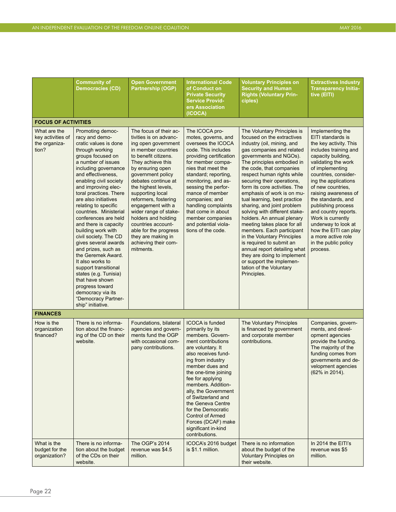|                                                             | <b>Community of</b><br><b>Democracies (CD)</b>                                                                                                                                                                                                                                                                                                                                                                                                                                                                                                                                                                                                                                | <b>Open Government</b><br><b>Partnership (OGP)</b>                                                                                                                                                                                                                                                                                                                                                                                                            | <b>International Code</b><br>of Conduct on<br><b>Private Security</b><br><b>Service Provid-</b><br>ers Association<br>(ICOCA)                                                                                                                                                                                                                                                                                                 | <b>Voluntary Principles on</b><br><b>Security and Human</b><br><b>Rights (Voluntary Prin-</b><br>ciples)                                                                                                                                                                                                                                                                                                                                                                                                                                                                                                                                                                                                                     | <b>Extractives Industry</b><br><b>Transparency Initia-</b><br>tive (EITI)                                                                                                                                                                                                                                                                                                                                                                                |  |
|-------------------------------------------------------------|-------------------------------------------------------------------------------------------------------------------------------------------------------------------------------------------------------------------------------------------------------------------------------------------------------------------------------------------------------------------------------------------------------------------------------------------------------------------------------------------------------------------------------------------------------------------------------------------------------------------------------------------------------------------------------|---------------------------------------------------------------------------------------------------------------------------------------------------------------------------------------------------------------------------------------------------------------------------------------------------------------------------------------------------------------------------------------------------------------------------------------------------------------|-------------------------------------------------------------------------------------------------------------------------------------------------------------------------------------------------------------------------------------------------------------------------------------------------------------------------------------------------------------------------------------------------------------------------------|------------------------------------------------------------------------------------------------------------------------------------------------------------------------------------------------------------------------------------------------------------------------------------------------------------------------------------------------------------------------------------------------------------------------------------------------------------------------------------------------------------------------------------------------------------------------------------------------------------------------------------------------------------------------------------------------------------------------------|----------------------------------------------------------------------------------------------------------------------------------------------------------------------------------------------------------------------------------------------------------------------------------------------------------------------------------------------------------------------------------------------------------------------------------------------------------|--|
| <b>FOCUS OF ACTIVITIES</b>                                  |                                                                                                                                                                                                                                                                                                                                                                                                                                                                                                                                                                                                                                                                               |                                                                                                                                                                                                                                                                                                                                                                                                                                                               |                                                                                                                                                                                                                                                                                                                                                                                                                               |                                                                                                                                                                                                                                                                                                                                                                                                                                                                                                                                                                                                                                                                                                                              |                                                                                                                                                                                                                                                                                                                                                                                                                                                          |  |
| What are the<br>key activities of<br>the organiza-<br>tion? | Promoting democ-<br>racy and demo-<br>cratic values is done<br>through working<br>groups focused on<br>a number of issues<br>including governance<br>and effectiveness.<br>enabling civil society<br>and improving elec-<br>toral practices. There<br>are also initiatives<br>relating to specific<br>countries. Ministerial<br>conferences are held<br>and there is capacity<br>building work with<br>civil society. The CD<br>gives several awards<br>and prizes, such as<br>the Geremek Award.<br>It also works to<br>support transitional<br>states (e.g. Tunisia)<br>that have shown<br>progress toward<br>democracy via its<br>"Democracy Partner-<br>ship" initiative. | The focus of their ac-<br>tivities is on advanc-<br>ing open government<br>in member countries<br>to benefit citizens.<br>They achieve this<br>by ensuring open<br>government policy<br>debates continue at<br>the highest levels,<br>supporting local<br>reformers, fostering<br>engagement with a<br>wider range of stake-<br>holders and holding<br>countries account-<br>able for the progress<br>they are making in<br>achieving their com-<br>mitments. | The ICOCA pro-<br>motes, governs, and<br>oversees the ICOCA<br>code. This includes<br>providing certification<br>for member compa-<br>nies that meet the<br>standard; reporting,<br>monitoring, and as-<br>sessing the perfor-<br>mance of member<br>companies; and<br>handling complaints<br>that come in about<br>member companies<br>and potential viola-<br>tions of the code.                                            | The Voluntary Principles is<br>focused on the extractives<br>industry (oil, mining, and<br>gas companies and related<br>governments and NGOs).<br>The principles embodied in<br>the code, that companies<br>respect human rights while<br>securing their operations,<br>form its core activities. The<br>emphasis of work is on mu-<br>tual learning, best practice<br>sharing, and joint problem<br>solving with different stake-<br>holders. An annual plenary<br>meeting takes place for all<br>members. Each participant<br>in the Voluntary Principles<br>is required to submit an<br>annual report detailing what<br>they are doing to implement<br>or support the implemen-<br>tation of the Voluntary<br>Principles. | Implementing the<br>EITI standards is<br>the key activity. This<br>includes training and<br>capacity building,<br>validating the work<br>of implementing<br>countries, consider-<br>ing the applications<br>of new countries,<br>raising awareness of<br>the standards, and<br>publishing process<br>and country reports.<br>Work is currently<br>underway to look at<br>how the EITI can play<br>a more active role<br>in the public policy<br>process. |  |
| <b>FINANCES</b>                                             |                                                                                                                                                                                                                                                                                                                                                                                                                                                                                                                                                                                                                                                                               |                                                                                                                                                                                                                                                                                                                                                                                                                                                               |                                                                                                                                                                                                                                                                                                                                                                                                                               |                                                                                                                                                                                                                                                                                                                                                                                                                                                                                                                                                                                                                                                                                                                              |                                                                                                                                                                                                                                                                                                                                                                                                                                                          |  |
| How is the<br>organization<br>financed?                     | There is no informa-<br>tion about the financ-<br>ing of the CD on their<br>website.                                                                                                                                                                                                                                                                                                                                                                                                                                                                                                                                                                                          | Foundations, bilateral<br>agencies and govern-<br>ments fund the OGP<br>with occasional com-<br>pany contributions.                                                                                                                                                                                                                                                                                                                                           | <b>ICOCA</b> is funded<br>primarily by its<br>members. Govern-<br>ment contributions<br>are voluntary. It<br>also receives fund-<br>ing from industry<br>member dues and<br>the one-time joining<br>fee for applying<br>members. Addition-<br>ally, the Government<br>of Switzerland and<br>the Geneva Centre<br>for the Democratic<br><b>Control of Armed</b><br>Forces (DCAF) make<br>significant in-kind<br>contributions. | The Voluntary Principles<br>is financed by government<br>and corporate member<br>contributions.                                                                                                                                                                                                                                                                                                                                                                                                                                                                                                                                                                                                                              | Companies, govern-<br>ments, and devel-<br>opment agencies<br>provide the funding.<br>The majority of the<br>funding comes from<br>governments and de-<br>velopment agencies<br>(62% in 2014).                                                                                                                                                                                                                                                           |  |
| What is the<br>budget for the<br>organization?              | There is no informa-<br>tion about the budget<br>of the CDs on their<br>website.                                                                                                                                                                                                                                                                                                                                                                                                                                                                                                                                                                                              | The OGP's 2014<br>revenue was \$4.5<br>million.                                                                                                                                                                                                                                                                                                                                                                                                               | ICOCA's 2016 budget<br>is \$1.1 million.                                                                                                                                                                                                                                                                                                                                                                                      | There is no information<br>about the budget of the<br><b>Voluntary Principles on</b><br>their website.                                                                                                                                                                                                                                                                                                                                                                                                                                                                                                                                                                                                                       | In 2014 the EITI's<br>revenue was \$5<br>million.                                                                                                                                                                                                                                                                                                                                                                                                        |  |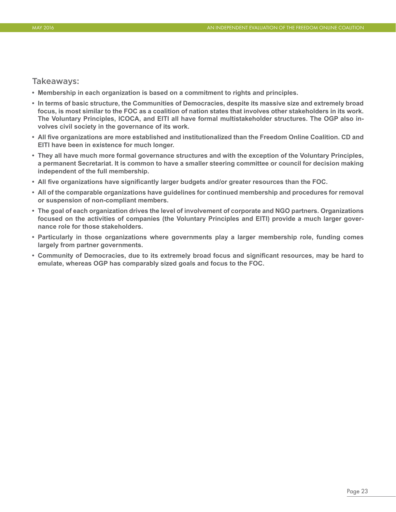#### Takeaways:

- **• Membership in each organization is based on a commitment to rights and principles.**
- **• In terms of basic structure, the Communities of Democracies, despite its massive size and extremely broad focus, is most similar to the FOC as a coalition of nation states that involves other stakeholders in its work. The Voluntary Principles, ICOCA, and EITI all have formal multistakeholder structures. The OGP also involves civil society in the governance of its work.**
- **• All five organizations are more established and institutionalized than the Freedom Online Coalition. CD and EITI have been in existence for much longer.**
- **• They all have much more formal governance structures and with the exception of the Voluntary Principles, a permanent Secretariat. It is common to have a smaller steering committee or council for decision making independent of the full membership.**
- **• All five organizations have significantly larger budgets and/or greater resources than the FOC.**
- **• All of the comparable organizations have guidelines for continued membership and procedures for removal or suspension of non-compliant members.**
- **• The goal of each organization drives the level of involvement of corporate and NGO partners. Organizations focused on the activities of companies (the Voluntary Principles and EITI) provide a much larger governance role for those stakeholders.**
- **• Particularly in those organizations where governments play a larger membership role, funding comes largely from partner governments.**
- **• Community of Democracies, due to its extremely broad focus and significant resources, may be hard to emulate, whereas OGP has comparably sized goals and focus to the FOC.**